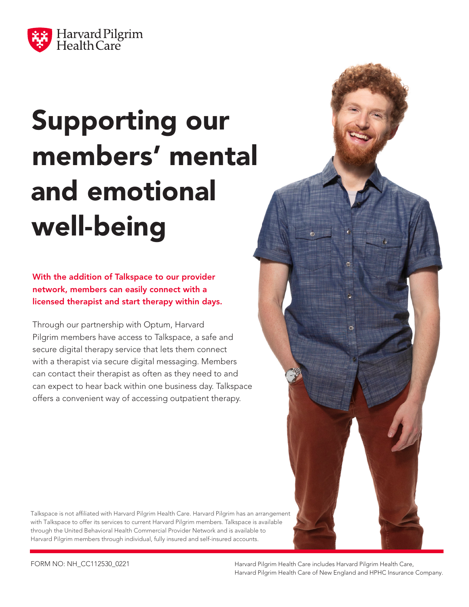

# Supporting our members' mental and emotional well-being

With the addition of Talkspace to our provider network, members can easily connect with a licensed therapist and start therapy within days.

Through our partnership with Optum, Harvard Pilgrim members have access to Talkspace, a safe and secure digital therapy service that lets them connect with a therapist via secure digital messaging. Members can contact their therapist as often as they need to and can expect to hear back within one business day. Talkspace offers a convenient way of accessing outpatient therapy.

Talkspace is not affiliated with Harvard Pilgrim Health Care. Harvard Pilgrim has an arrangement with Talkspace to offer its services to current Harvard Pilgrim members. Talkspace is available through the United Behavioral Health Commercial Provider Network and is available to Harvard Pilgrim members through individual, fully insured and self-insured accounts.

FORM NO: NH\_CC112530\_0221 Harvard Pilgrim Health Care includes Harvard Pilgrim Health Care, Harvard Pilgrim Health Care of New England and HPHC Insurance Company.